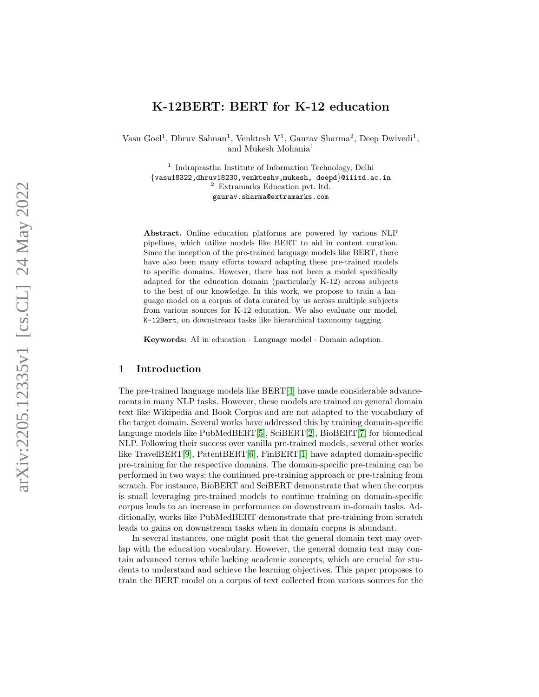# K-12BERT: BERT for K-12 education

Vasu Goel<sup>1</sup>, Dhruv Sahnan<sup>1</sup>, Venktesh V<sup>1</sup>, Gaurav Sharma<sup>2</sup>, Deep Dwivedi<sup>1</sup>, and Mukesh Mohania 1

<sup>1</sup> Indraprastha Institute of Information Technology, Delhi {vasu18322,dhruv18230,venkteshv,mukesh, deepd }@iiitd.ac.in <sup>2</sup> Extramarks Education pvt. ltd. gaurav.sharma@extramarks.com

Abstract. Online education platforms are powered by various NLP pipelines, which utilize models like BERT to aid in content curation. Since the inception of the pre-trained language models like BERT, there have also been many efforts toward adapting these pre-trained models to specific domains. However, there has not been a model specifically adapted for the education domain (particularly K-12) across subjects to the best of our knowledge. In this work, we propose to train a language model on a corpus of data curated by us across multiple subjects from various sources for K-12 education. We also evaluate our model, K-12Bert, on downstream tasks like hierarchical taxonomy tagging.

Keywords: AI in education · Language model · Domain adaption.

### 1 Introduction

The pre-trained language models like BERT[\[4\]](#page-3-0) have made considerable advancements in many NLP tasks. However, these models are trained on general domain text like Wikipedia and Book Corpus and are not adapted to the vocabulary of the target domain. Several works have addressed this by training domain-specific language models like PubMedBERT[\[5\]](#page-3-1), SciBERT[\[2\]](#page-3-2), BioBERT[\[7\]](#page-3-3) for biomedical NLP. Following their success over vanilla pre-trained models, several other works like TravelBERT[\[9\]](#page-3-4), PatentBERT[\[6\]](#page-3-5), FinBERT[\[1\]](#page-3-6) have adapted domain-specific pre-training for the respective domains. The domain-specific pre-training can be performed in two ways: the continued pre-training approach or pre-training from scratch. For instance, BioBERT and SciBERT demonstrate that when the corpus is small leveraging pre-trained models to continue training on domain-specific corpus leads to an increase in performance on downstream in-domain tasks. Additionally, works like PubMedBERT demonstrate that pre-training from scratch leads to gains on downstream tasks when in domain corpus is abundant.

In several instances, one might posit that the general domain text may overlap with the education vocabulary. However, the general domain text may contain advanced terms while lacking academic concepts, which are crucial for students to understand and achieve the learning objectives. This paper proposes to train the BERT model on a corpus of text collected from various sources for the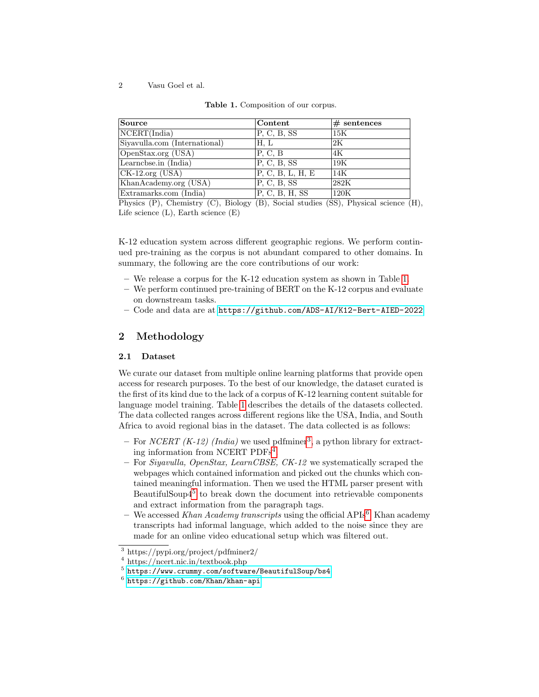2 Vasu Goel et al.

| Source                              | Content          | $#$ sentences |
|-------------------------------------|------------------|---------------|
| NCENT(India)                        | P, C, B, SS      | 15K           |
| Siyavulla.com (International)       | H. L             | 2K            |
| OpenStax.org (USA)                  | P, C, B          | 4Κ            |
| Learnchse.in (India)                | P, C, B, SS      | 19K           |
| $\overline{\text{CK-12.org}}$ (USA) | P, C, B, L, H, E | 14K           |
| KhanAcademy.org (USA)               | P, C, B, SS      | 282K          |
| Extramarks.com (India)              | P, C, B, H, SS   | 120K          |

<span id="page-1-0"></span>

|  |  | <b>Table 1.</b> Composition of our corpus. |  |  |  |
|--|--|--------------------------------------------|--|--|--|
|--|--|--------------------------------------------|--|--|--|

Physics (P), Chemistry (C), Biology (B), Social studies (SS), Physical science (H), Life science (L), Earth science (E)

K-12 education system across different geographic regions. We perform continued pre-training as the corpus is not abundant compared to other domains. In summary, the following are the core contributions of our work:

- We release a corpus for the K-12 education system as shown in Table [1.](#page-1-0)
- We perform continued pre-training of BERT on the K-12 corpus and evaluate on downstream tasks.
- Code and data are at <https://github.com/ADS-AI/K12-Bert-AIED-2022>

# 2 Methodology

### 2.1 Dataset

We curate our dataset from multiple online learning platforms that provide open access for research purposes. To the best of our knowledge, the dataset curated is the first of its kind due to the lack of a corpus of K-12 learning content suitable for language model training. Table [1](#page-1-0) describes the details of the datasets collected. The data collected ranges across different regions like the USA, India, and South Africa to avoid regional bias in the dataset. The data collected is as follows:

- For *NCERT* (*K*-12) (*India*) we used pdfminer<sup>[3](#page-1-1)</sup>, a python library for extracting information from NCERT PDFs[4](#page-1-2) .
- For Siyavulla, OpenStax, LearnCBSE, CK-12 we systematically scraped the webpages which contained information and picked out the chunks which contained meaningful information. Then we used the HTML parser present with BeautifulSoup4<sup>[5](#page-1-3)</sup> to break down the document into retrievable components and extract information from the paragraph tags.
- We accessed Khan Academy transcripts using the official APIs<sup>[6](#page-1-4)</sup>. Khan academy transcripts had informal language, which added to the noise since they are made for an online video educational setup which was filtered out.

<span id="page-1-1"></span><sup>3</sup> https://pypi.org/project/pdfminer2/

<span id="page-1-2"></span><sup>4</sup> https://ncert.nic.in/textbook.php

<span id="page-1-3"></span> $^5$ <https://www.crummy.com/software/BeautifulSoup/bs4>

<span id="page-1-4"></span> $^6$  <https://github.com/Khan/khan-api>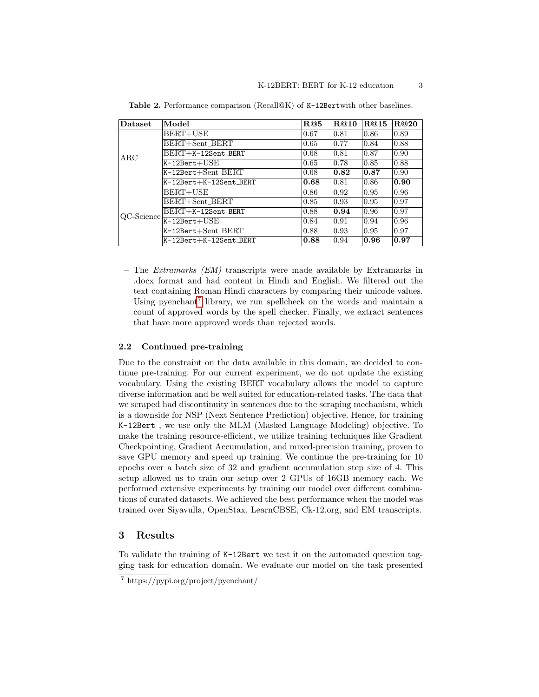| Dataset    | Model                        | R@5  | R@10 | R@15 | R@20 |
|------------|------------------------------|------|------|------|------|
| $\rm{ARC}$ | BERT+USE                     | 0.67 | 0.81 | 0.86 | 0.89 |
|            | BERT+Sent_BERT               | 0.65 | 0.77 | 0.84 | 0.88 |
|            | $BERT+K-12Sent$ BERT         | 0.68 | 0.81 | 0.87 | 0.90 |
|            | $K-12Bert+USE$               | 0.65 | 0.78 | 0.85 | 0.88 |
|            | K-12Bert+Sent_BERT           | 0.68 | 0.82 | 0.87 | 0.90 |
|            | K-12Bert+K-12Sent_BERT       | 0.68 | 0.81 | 0.86 | 0.90 |
| QC-Science | BERT+USE                     | 0.86 | 0.92 | 0.95 | 0.96 |
|            | BERT+Sent_BERT               | 0.85 | 0.93 | 0.95 | 0.97 |
|            | BERT+K-12Sent_BERT           | 0.88 | 0.94 | 0.96 | 0.97 |
|            | $K-12\text{Bert}+\text{USE}$ | 0.84 | 0.91 | 0.94 | 0.96 |
|            | K-12Bert+Sent_BERT           | 0.88 | 0.93 | 0.95 | 0.97 |
|            | K-12Bert+K-12Sent_BERT       | 0.88 | 0.94 | 0.96 | 0.97 |

<span id="page-2-1"></span>Table 2. Performance comparison (Recall@K) of K-12Bertwith other baselines.

– The Extramarks (EM) transcripts were made available by Extramarks in .docx format and had content in Hindi and English. We filtered out the text containing Roman Hindi characters by comparing their unicode values. Using pyenchant<sup>[7](#page-2-0)</sup> library, we run spellcheck on the words and maintain a count of approved words by the spell checker. Finally, we extract sentences that have more approved words than rejected words.

#### 2.2 Continued pre-training

Due to the constraint on the data available in this domain, we decided to continue pre-training. For our current experiment, we do not update the existing vocabulary. Using the existing BERT vocabulary allows the model to capture diverse information and be well suited for education-related tasks. The data that we scraped had discontinuity in sentences due to the scraping mechanism, which is a downside for NSP (Next Sentence Prediction) objective. Hence, for training K-12Bert , we use only the MLM (Masked Language Modeling) objective. To make the training resource-efficient, we utilize training techniques like Gradient Checkpointing, Gradient Accumulation, and mixed-precision training, proven to save GPU memory and speed up training. We continue the pre-training for 10 epochs over a batch size of 32 and gradient accumulation step size of 4. This setup allowed us to train our setup over 2 GPUs of 16GB memory each. We performed extensive experiments by training our model over different combinations of curated datasets. We achieved the best performance when the model was trained over Siyavulla, OpenStax, LearnCBSE, Ck-12.org, and EM transcripts.

#### 3 Results

To validate the training of K-12Bert we test it on the automated question tagging task for education domain. We evaluate our model on the task presented

<span id="page-2-0"></span><sup>7</sup> https://pypi.org/project/pyenchant/